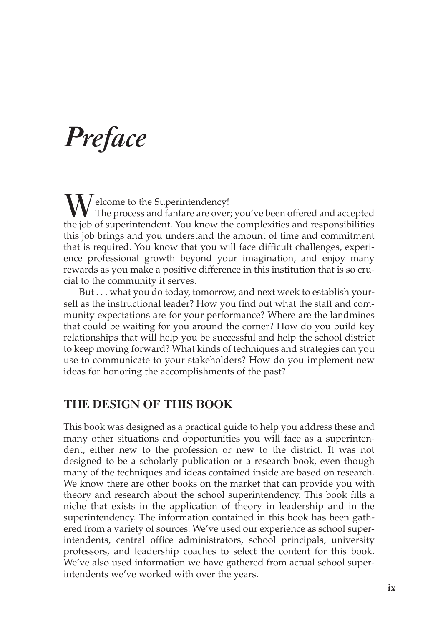# *Preface*

M / elcome to the Superintendency! The process and fanfare are over; you've been offered and accepted the job of superintendent. You know the complexities and responsibilities this job brings and you understand the amount of time and commitment that is required. You know that you will face difficult challenges, experience professional growth beyond your imagination, and enjoy many rewards as you make a positive difference in this institution that is so crucial to the community it serves.

But . . . what you do today, tomorrow, and next week to establish yourself as the instructional leader? How you find out what the staff and community expectations are for your performance? Where are the landmines that could be waiting for you around the corner? How do you build key relationships that will help you be successful and help the school district to keep moving forward? What kinds of techniques and strategies can you use to communicate to your stakeholders? How do you implement new ideas for honoring the accomplishments of the past?

#### **The Design of this Book**

This book was designed as a practical guide to help you address these and many other situations and opportunities you will face as a superintendent, either new to the profession or new to the district. It was not designed to be a scholarly publication or a research book, even though many of the techniques and ideas contained inside are based on research. We know there are other books on the market that can provide you with theory and research about the school superintendency. This book fills a niche that exists in the application of theory in leadership and in the superintendency. The information contained in this book has been gathered from a variety of sources. We've used our experience as school superintendents, central office administrators, school principals, university professors, and leadership coaches to select the content for this book. We've also used information we have gathered from actual school superintendents we've worked with over the years.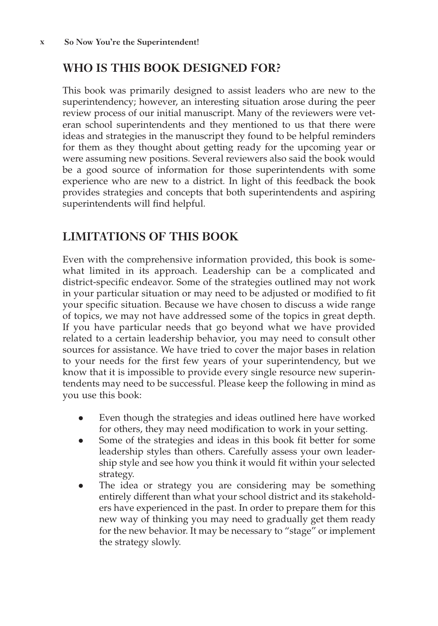## **Who is this book designed for?**

This book was primarily designed to assist leaders who are new to the superintendency; however, an interesting situation arose during the peer review process of our initial manuscript. Many of the reviewers were veteran school superintendents and they mentioned to us that there were ideas and strategies in the manuscript they found to be helpful reminders for them as they thought about getting ready for the upcoming year or were assuming new positions. Several reviewers also said the book would be a good source of information for those superintendents with some experience who are new to a district*.* In light of this feedback the book provides strategies and concepts that both superintendents and aspiring superintendents will find helpful.

### **Limitations of this Book**

Even with the comprehensive information provided, this book is somewhat limited in its approach. Leadership can be a complicated and district-specific endeavor. Some of the strategies outlined may not work in your particular situation or may need to be adjusted or modified to fit your specific situation. Because we have chosen to discuss a wide range of topics, we may not have addressed some of the topics in great depth. If you have particular needs that go beyond what we have provided related to a certain leadership behavior, you may need to consult other sources for assistance. We have tried to cover the major bases in relation to your needs for the first few years of your superintendency, but we know that it is impossible to provide every single resource new superintendents may need to be successful. Please keep the following in mind as you use this book:

- Even though the strategies and ideas outlined here have worked for others, they may need modification to work in your setting.
- Some of the strategies and ideas in this book fit better for some leadership styles than others. Carefully assess your own leadership style and see how you think it would fit within your selected strategy.
- The idea or strategy you are considering may be something entirely different than what your school district and its stakeholders have experienced in the past. In order to prepare them for this new way of thinking you may need to gradually get them ready for the new behavior. It may be necessary to "stage" or implement the strategy slowly.